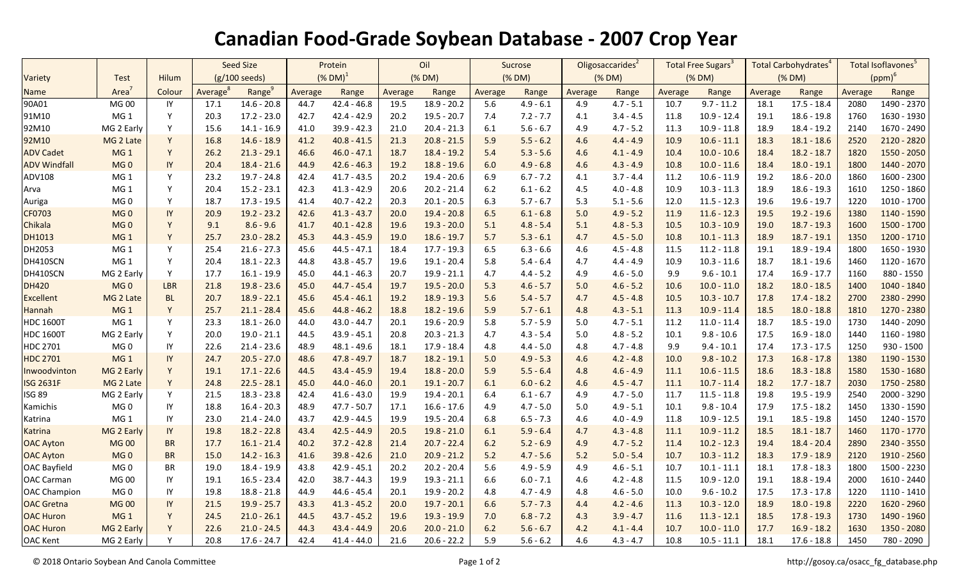## **Canadian Food-Grade Soybean Database - 2007 Crop Year**

|                     |                 |              | <b>Seed Size</b>        |                    | Protein               |               | Oil     |               | <b>Sucrose</b> |             | Oligosaccarides <sup>2</sup> |             | Total Free Sugars <sup>3</sup> |               | Total Carbohydrates <sup>4</sup> |               | Total Isoflavones <sup>5</sup> |               |
|---------------------|-----------------|--------------|-------------------------|--------------------|-----------------------|---------------|---------|---------------|----------------|-------------|------------------------------|-------------|--------------------------------|---------------|----------------------------------|---------------|--------------------------------|---------------|
| Variety             | <b>Test</b>     | <b>Hilum</b> | $(g/100 \text{ seeds})$ |                    | $(N$ DM) <sup>1</sup> |               | (% DM)  |               | (% DM)         |             | (% DM)                       |             | (% DM)                         |               | (% DM)                           |               | $(ppm)^6$                      |               |
| <b>Name</b>         | Area            | Colour       | Average                 | Range <sup>9</sup> | Average               | Range         | Average | Range         | Average        | Range       | Average                      | Range       | Average                        | Range         | Average                          | Range         | Average                        | Range         |
| 90A01               | <b>MG00</b>     | IY           | 17.1                    | $14.6 - 20.8$      | 44.7                  | $42.4 - 46.8$ | 19.5    | $18.9 - 20.2$ | 5.6            | $4.9 - 6.1$ | 4.9                          | $4.7 - 5.1$ | 10.7                           | $9.7 - 11.2$  | 18.1                             | $17.5 - 18.4$ | 2080                           | 1490 - 2370   |
| 91M10               | MG <sub>1</sub> | Y            | 20.3                    | $17.2 - 23.0$      | 42.7                  | $42.4 - 42.9$ | 20.2    | $19.5 - 20.7$ | 7.4            | $7.2 - 7.7$ | 4.1                          | $3.4 - 4.5$ | 11.8                           | $10.9 - 12.4$ | 19.1                             | $18.6 - 19.8$ | 1760                           | 1630 - 1930   |
| 92M10               | MG 2 Early      | Y            | 15.6                    | $14.1 - 16.9$      | 41.0                  | $39.9 - 42.3$ | 21.0    | $20.4 - 21.3$ | 6.1            | $5.6 - 6.7$ | 4.9                          | $4.7 - 5.2$ | 11.3                           | $10.9 - 11.8$ | 18.9                             | $18.4 - 19.2$ | 2140                           | 1670 - 2490   |
| 92M10               | MG 2 Late       | Y            | 16.8                    | $14.6 - 18.9$      | 41.2                  | $40.8 - 41.5$ | 21.3    | $20.8 - 21.5$ | 5.9            | $5.5 - 6.2$ | 4.6                          | $4.4 - 4.9$ | 10.9                           | $10.6 - 11.1$ | 18.3                             | $18.1 - 18.6$ | 2520                           | 2120 - 2820   |
| <b>ADV Cadet</b>    | MG <sub>1</sub> | Y            | 26.2                    | $21.3 - 29.1$      | 46.6                  | $46.0 - 47.1$ | 18.7    | $18.4 - 19.2$ | 5.4            | $5.3 - 5.6$ | 4.6                          | $4.1 - 4.9$ | 10.4                           | $10.0 - 10.6$ | 18.4                             | $18.2 - 18.7$ | 1820                           | 1550 - 2050   |
| <b>ADV Windfall</b> | MG <sub>0</sub> | IY           | 20.4                    | $18.4 - 21.6$      | 44.9                  | $42.6 - 46.3$ | 19.2    | $18.8 - 19.6$ | 6.0            | $4.9 - 6.8$ | 4.6                          | $4.3 - 4.9$ | 10.8                           | $10.0 - 11.6$ | 18.4                             | $18.0 - 19.1$ | 1800                           | 1440 - 2070   |
| ADV108              | MG <sub>1</sub> | Y            | 23.2                    | $19.7 - 24.8$      | 42.4                  | $41.7 - 43.5$ | 20.2    | 19.4 - 20.6   | 6.9            | $6.7 - 7.2$ | 4.1                          | $3.7 - 4.4$ | 11.2                           | $10.6 - 11.9$ | 19.2                             | $18.6 - 20.0$ | 1860                           | 1600 - 2300   |
| Arva                | MG <sub>1</sub> | Y            | 20.4                    | $15.2 - 23.1$      | 42.3                  | $41.3 - 42.9$ | 20.6    | $20.2 - 21.4$ | 6.2            | $6.1 - 6.2$ | 4.5                          | $4.0 - 4.8$ | 10.9                           | $10.3 - 11.3$ | 18.9                             | $18.6 - 19.3$ | 1610                           | 1250 - 1860   |
| Auriga              | MG <sub>0</sub> | Y            | 18.7                    | $17.3 - 19.5$      | 41.4                  | $40.7 - 42.2$ | 20.3    | $20.1 - 20.5$ | 6.3            | $5.7 - 6.7$ | 5.3                          | $5.1 - 5.6$ | 12.0                           | $11.5 - 12.3$ | 19.6                             | $19.6 - 19.7$ | 1220                           | $1010 - 1700$ |
| CF0703              | MG <sub>0</sub> | IY           | 20.9                    | $19.2 - 23.2$      | 42.6                  | $41.3 - 43.7$ | 20.0    | $19.4 - 20.8$ | 6.5            | $6.1 - 6.8$ | 5.0                          | $4.9 - 5.2$ | 11.9                           | $11.6 - 12.3$ | 19.5                             | $19.2 - 19.6$ | 1380                           | 1140 - 1590   |
| Chikala             | MG <sub>0</sub> | Y            | 9.1                     | $8.6 - 9.6$        | 41.7                  | $40.1 - 42.8$ | 19.6    | $19.3 - 20.0$ | 5.1            | $4.8 - 5.4$ | 5.1                          | $4.8 - 5.3$ | 10.5                           | $10.3 - 10.9$ | 19.0                             | $18.7 - 19.3$ | 1600                           | 1500 - 1700   |
| DH1013              | MG <sub>1</sub> | Y            | 25.7                    | $23.0 - 28.2$      | 45.3                  | $44.3 - 45.9$ | 19.0    | $18.6 - 19.7$ | 5.7            | $5.3 - 6.1$ | 4.7                          | $4.5 - 5.0$ | 10.8                           | $10.1 - 11.3$ | 18.9                             | $18.7 - 19.1$ | 1350                           | 1200 - 1710   |
| DH2053              | MG <sub>1</sub> | Y            | 25.4                    | $21.6 - 27.3$      | 45.6                  | 44.5 - 47.1   | 18.4    | $17.7 - 19.3$ | 6.5            | $6.3 - 6.6$ | 4.6                          | $4.5 - 4.8$ | 11.5                           | $11.2 - 11.8$ | 19.1                             | 18.9 - 19.4   | 1800                           | 1650 - 1930   |
| DH410SCN            | MG <sub>1</sub> | Y            | 20.4                    | $18.1 - 22.3$      | 44.8                  | $43.8 - 45.7$ | 19.6    | $19.1 - 20.4$ | 5.8            | $5.4 - 6.4$ | 4.7                          | $4.4 - 4.9$ | 10.9                           | $10.3 - 11.6$ | 18.7                             | $18.1 - 19.6$ | 1460                           | 1120 - 1670   |
| DH410SCN            | MG 2 Early      | Y            | 17.7                    | $16.1 - 19.9$      | 45.0                  | $44.1 - 46.3$ | 20.7    | $19.9 - 21.1$ | 4.7            | $4.4 - 5.2$ | 4.9                          | $4.6 - 5.0$ | 9.9                            | $9.6 - 10.1$  | 17.4                             | $16.9 - 17.7$ | 1160                           | 880 - 1550    |
| <b>DH420</b>        | MG <sub>0</sub> | <b>LBR</b>   | 21.8                    | $19.8 - 23.6$      | 45.0                  | 44.7 - 45.4   | 19.7    | $19.5 - 20.0$ | 5.3            | $4.6 - 5.7$ | 5.0                          | $4.6 - 5.2$ | 10.6                           | $10.0 - 11.0$ | 18.2                             | $18.0 - 18.5$ | 1400                           | 1040 - 1840   |
| <b>Excellent</b>    | MG 2 Late       | <b>BL</b>    | 20.7                    | $18.9 - 22.1$      | 45.6                  | $45.4 - 46.1$ | 19.2    | 18.9 - 19.3   | 5.6            | $5.4 - 5.7$ | 4.7                          | $4.5 - 4.8$ | 10.5                           | $10.3 - 10.7$ | 17.8                             | $17.4 - 18.2$ | 2700                           | 2380 - 2990   |
| Hannah              | MG <sub>1</sub> | Y            | 25.7                    | $21.1 - 28.4$      | 45.6                  | $44.8 - 46.2$ | 18.8    | $18.2 - 19.6$ | 5.9            | $5.7 - 6.1$ | 4.8                          | $4.3 - 5.1$ | 11.3                           | $10.9 - 11.4$ | 18.5                             | $18.0 - 18.8$ | 1810                           | 1270 - 2380   |
| <b>HDC 1600T</b>    | MG <sub>1</sub> | Y            | 23.3                    | $18.1 - 26.0$      | 44.0                  | $43.0 - 44.7$ | 20.1    | $19.6 - 20.9$ | 5.8            | $5.7 - 5.9$ | 5.0                          | $4.7 - 5.1$ | 11.2                           | $11.0 - 11.4$ | 18.7                             | $18.5 - 19.0$ | 1730                           | 1440 - 2090   |
| <b>HDC 1600T</b>    | MG 2 Early      | Y            | 20.0                    | $19.0 - 21.1$      | 44.5                  | 43.9 - 45.1   | 20.8    | $20.3 - 21.3$ | 4.7            | $4.3 - 5.4$ | 5.0                          | $4.8 - 5.2$ | 10.1                           | $9.8 - 10.6$  | 17.5                             | $16.9 - 18.0$ | 1440                           | 1160 - 1980   |
| <b>HDC 2701</b>     | MG <sub>0</sub> | IY           | 22.6                    | $21.4 - 23.6$      | 48.9                  | 48.1 - 49.6   | 18.1    | $17.9 - 18.4$ | 4.8            | $4.4 - 5.0$ | 4.8                          | $4.7 - 4.8$ | 9.9                            | $9.4 - 10.1$  | 17.4                             | $17.3 - 17.5$ | 1250                           | 930 - 1500    |
| <b>HDC 2701</b>     | MG <sub>1</sub> | IY           | 24.7                    | $20.5 - 27.0$      | 48.6                  | $47.8 - 49.7$ | 18.7    | $18.2 - 19.1$ | 5.0            | $4.9 - 5.3$ | 4.6                          | $4.2 - 4.8$ | 10.0                           | $9.8 - 10.2$  | 17.3                             | $16.8 - 17.8$ | 1380                           | 1190 - 1530   |
| Inwoodvinton        | MG 2 Early      | Y            | 19.1                    | $17.1 - 22.6$      | 44.5                  | $43.4 - 45.9$ | 19.4    | $18.8 - 20.0$ | 5.9            | $5.5 - 6.4$ | 4.8                          | $4.6 - 4.9$ | 11.1                           | $10.6 - 11.5$ | 18.6                             | $18.3 - 18.8$ | 1580                           | 1530 - 1680   |
| <b>ISG 2631F</b>    | MG 2 Late       | Y            | 24.8                    | $22.5 - 28.1$      | 45.0                  | $44.0 - 46.0$ | 20.1    | $19.1 - 20.7$ | 6.1            | $6.0 - 6.2$ | 4.6                          | $4.5 - 4.7$ | 11.1                           | $10.7 - 11.4$ | 18.2                             | $17.7 - 18.7$ | 2030                           | 1750 - 2580   |
| <b>ISG 89</b>       | MG 2 Early      | Y            | 21.5                    | $18.3 - 23.8$      | 42.4                  | $41.6 - 43.0$ | 19.9    | $19.4 - 20.1$ | 6.4            | $6.1 - 6.7$ | 4.9                          | $4.7 - 5.0$ | 11.7                           | $11.5 - 11.8$ | 19.8                             | 19.5 - 19.9   | 2540                           | 2000 - 3290   |
| Kamichis            | MG <sub>0</sub> | IY           | 18.8                    | $16.4 - 20.3$      | 48.9                  | $47.7 - 50.7$ | 17.1    | $16.6 - 17.6$ | 4.9            | $4.7 - 5.0$ | 5.0                          | $4.9 - 5.1$ | 10.1                           | $9.8 - 10.4$  | 17.9                             | $17.5 - 18.2$ | 1450                           | 1330 - 1590   |
| Katrina             | MG <sub>1</sub> | IY           | 23.0                    | $21.4 - 24.0$      | 43.7                  | 42.9 - 44.5   | 19.9    | $19.5 - 20.4$ | 6.8            | $6.5 - 7.3$ | 4.6                          | $4.0 - 4.9$ | 11.8                           | $10.9 - 12.5$ | 19.1                             | $18.5 - 19.8$ | 1450                           | 1240 - 1570   |
| Katrina             | MG 2 Early      | IY           | 19.8                    | $18.2 - 22.8$      | 43.4                  | $42.5 - 44.9$ | 20.5    | $19.8 - 21.0$ | 6.1            | $5.9 - 6.4$ | 4.7                          | $4.3 - 4.8$ | 11.1                           | $10.9 - 11.2$ | 18.5                             | $18.1 - 18.7$ | 1460                           | 1170 - 1770   |
| <b>OAC Ayton</b>    | <b>MG00</b>     | <b>BR</b>    | 17.7                    | $16.1 - 21.4$      | 40.2                  | $37.2 - 42.8$ | 21.4    | $20.7 - 22.4$ | 6.2            | $5.2 - 6.9$ | 4.9                          | $4.7 - 5.2$ | 11.4                           | $10.2 - 12.3$ | 19.4                             | $18.4 - 20.4$ | 2890                           | 2340 - 3550   |
| <b>OAC Ayton</b>    | MG <sub>0</sub> | <b>BR</b>    | 15.0                    | $14.2 - 16.3$      | 41.6                  | $39.8 - 42.6$ | 21.0    | $20.9 - 21.2$ | 5.2            | $4.7 - 5.6$ | 5.2                          | $5.0 - 5.4$ | 10.7                           | $10.3 - 11.2$ | 18.3                             | $17.9 - 18.9$ | 2120                           | 1910 - 2560   |
| <b>OAC Bayfield</b> | MG <sub>0</sub> | <b>BR</b>    | 19.0                    | 18.4 - 19.9        | 43.8                  | $42.9 - 45.1$ | 20.2    | $20.2 - 20.4$ | 5.6            | $4.9 - 5.9$ | 4.9                          | $4.6 - 5.1$ | 10.7                           | $10.1 - 11.1$ | 18.1                             | $17.8 - 18.3$ | 1800                           | 1500 - 2230   |
| <b>OAC Carman</b>   | MG 00           | IY           | 19.1                    | $16.5 - 23.4$      | 42.0                  | $38.7 - 44.3$ | 19.9    | $19.3 - 21.1$ | 6.6            | $6.0 - 7.1$ | 4.6                          | $4.2 - 4.8$ | 11.5                           | $10.9 - 12.0$ | 19.1                             | $18.8 - 19.4$ | 2000                           | 1610 - 2440   |
| <b>OAC Champion</b> | MG <sub>0</sub> | IY           | 19.8                    | $18.8 - 21.8$      | 44.9                  | 44.6 - 45.4   | 20.1    | $19.9 - 20.2$ | 4.8            | $4.7 - 4.9$ | 4.8                          | $4.6 - 5.0$ | 10.0                           | $9.6 - 10.2$  | 17.5                             | $17.3 - 17.8$ | 1220                           | $1110 - 1410$ |
| <b>OAC</b> Gretna   | <b>MG00</b>     | IY           | 21.5                    | $19.9 - 25.7$      | 43.3                  | $41.3 - 45.2$ | 20.0    | $19.7 - 20.1$ | 6.6            | $5.7 - 7.3$ | 4.4                          | $4.2 - 4.6$ | 11.3                           | $10.3 - 12.0$ | 18.9                             | $18.0 - 19.8$ | 2220                           | 1620 - 2960   |
| <b>OAC Huron</b>    | MG <sub>1</sub> | Y            | 24.5                    | $21.0 - 26.1$      | 44.5                  | $43.7 - 45.2$ | 19.6    | 19.3 - 19.9   | 7.0            | $6.8 - 7.2$ | 4.3                          | $3.9 - 4.7$ | 11.6                           | $11.3 - 12.1$ | 18.5                             | $17.8 - 19.3$ | 1730                           | 1490 - 1960   |
| <b>OAC Huron</b>    | MG 2 Early      | Y            | 22.6                    | $21.0 - 24.5$      | 44.3                  | $43.4 - 44.9$ | 20.6    | $20.0 - 21.0$ | 6.2            | $5.6 - 6.7$ | 4.2                          | $4.1 - 4.4$ | 10.7                           | $10.0 - 11.0$ | 17.7                             | $16.9 - 18.2$ | 1630                           | 1350 - 2080   |
| <b>OAC Kent</b>     | MG 2 Early      | Y            | 20.8                    | $17.6 - 24.7$      | 42.4                  | $41.4 - 44.0$ | 21.6    | $20.6 - 22.2$ | 5.9            | $5.6 - 6.2$ | 4.6                          | $4.3 - 4.7$ | 10.8                           | $10.5 - 11.1$ | 18.1                             | $17.6 - 18.8$ | 1450                           | 780 - 2090    |